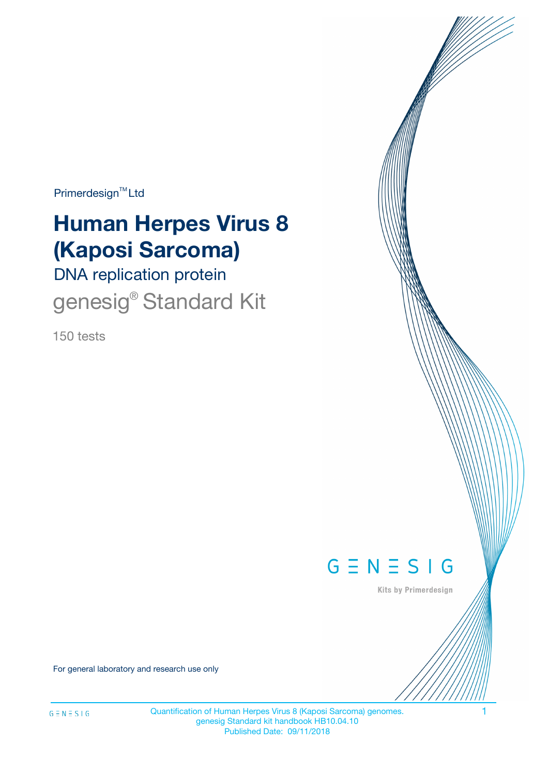Primerdesign<sup>™</sup>Ltd

# **Human Herpes Virus 8 (Kaposi Sarcoma)**

DNA replication protein genesig<sup>®</sup> Standard Kit

150 tests



Kits by Primerdesign

For general laboratory and research use only

Quantification of Human Herpes Virus 8 (Kaposi Sarcoma) genomes. 1 genesig Standard kit handbook HB10.04.10 Published Date: 09/11/2018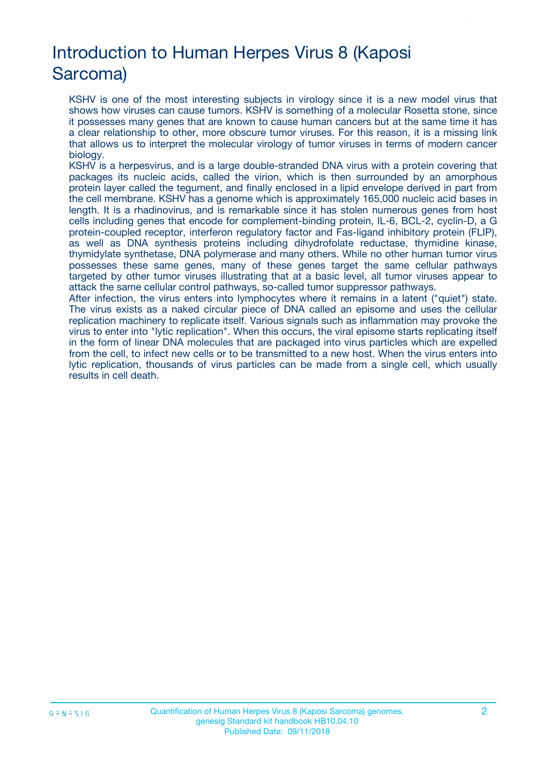# Introduction to Human Herpes Virus 8 (Kaposi Sarcoma)

KSHV is one of the most interesting subjects in virology since it is a new model virus that shows how viruses can cause tumors. KSHV is something of a molecular Rosetta stone, since it possesses many genes that are known to cause human cancers but at the same time it has a clear relationship to other, more obscure tumor viruses. For this reason, it is a missing link that allows us to interpret the molecular virology of tumor viruses in terms of modern cancer biology.

KSHV is a herpesvirus, and is a large double-stranded DNA virus with a protein covering that packages its nucleic acids, called the virion, which is then surrounded by an amorphous protein layer called the tegument, and finally enclosed in a lipid envelope derived in part from the cell membrane. KSHV has a genome which is approximately 165,000 nucleic acid bases in length. It is a rhadinovirus, and is remarkable since it has stolen numerous genes from host cells including genes that encode for complement-binding protein, IL-6, BCL-2, cyclin-D, a G protein-coupled receptor, interferon regulatory factor and Fas-ligand inhibitory protein (FLIP), as well as DNA synthesis proteins including dihydrofolate reductase, thymidine kinase, thymidylate synthetase, DNA polymerase and many others. While no other human tumor virus possesses these same genes, many of these genes target the same cellular pathways targeted by other tumor viruses illustrating that at a basic level, all tumor viruses appear to attack the same cellular control pathways, so-called tumor suppressor pathways.

After infection, the virus enters into lymphocytes where it remains in a latent ("quiet") state. The virus exists as a naked circular piece of DNA called an episome and uses the cellular replication machinery to replicate itself. Various signals such as inflammation may provoke the virus to enter into "lytic replication". When this occurs, the viral episome starts replicating itself in the form of linear DNA molecules that are packaged into virus particles which are expelled from the cell, to infect new cells or to be transmitted to a new host. When the virus enters into lytic replication, thousands of virus particles can be made from a single cell, which usually results in cell death.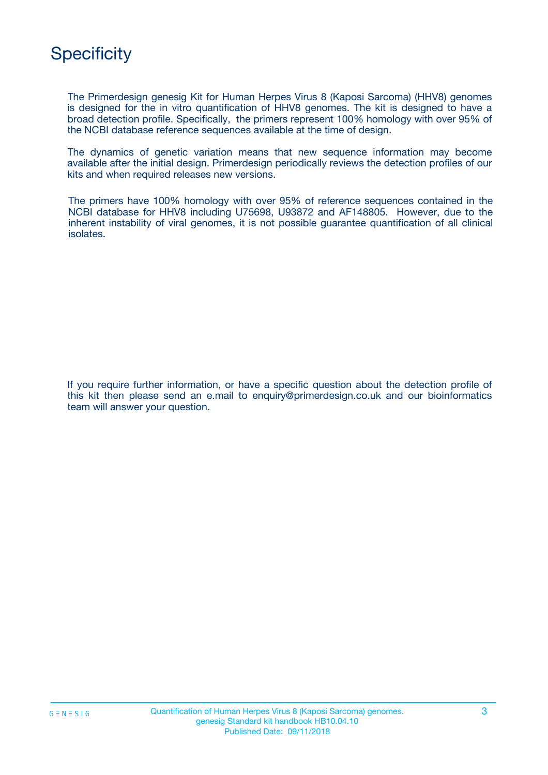

The Primerdesign genesig Kit for Human Herpes Virus 8 (Kaposi Sarcoma) (HHV8) genomes is designed for the in vitro quantification of HHV8 genomes. The kit is designed to have a broad detection profile. Specifically, the primers represent 100% homology with over 95% of the NCBI database reference sequences available at the time of design.

The dynamics of genetic variation means that new sequence information may become available after the initial design. Primerdesign periodically reviews the detection profiles of our kits and when required releases new versions.

The primers have 100% homology with over 95% of reference sequences contained in the NCBI database for HHV8 including U75698, U93872 and AF148805. However, due to the inherent instability of viral genomes, it is not possible guarantee quantification of all clinical isolates.

If you require further information, or have a specific question about the detection profile of this kit then please send an e.mail to enquiry@primerdesign.co.uk and our bioinformatics team will answer your question.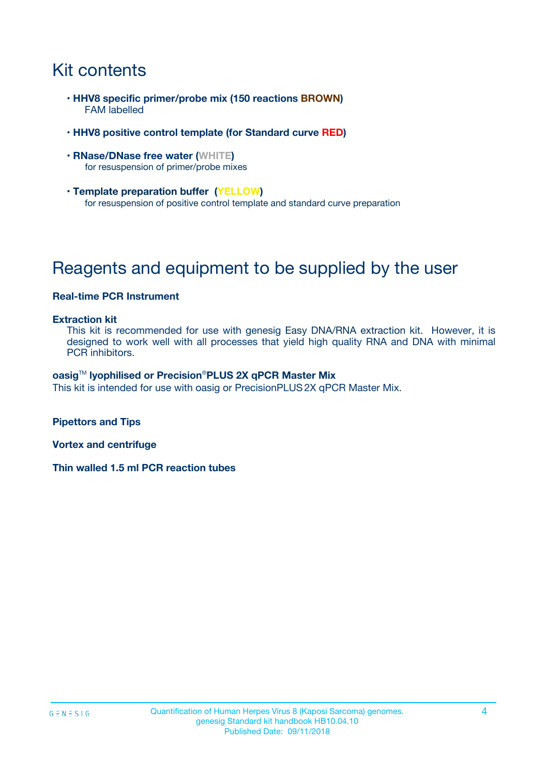# Kit contents

- **HHV8 specific primer/probe mix (150 reactions BROWN)** FAM labelled
- **HHV8 positive control template (for Standard curve RED)**
- **RNase/DNase free water (WHITE)** for resuspension of primer/probe mixes
- **Template preparation buffer (YELLOW)** for resuspension of positive control template and standard curve preparation

# Reagents and equipment to be supplied by the user

#### **Real-time PCR Instrument**

#### **Extraction kit**

This kit is recommended for use with genesig Easy DNA/RNA extraction kit. However, it is designed to work well with all processes that yield high quality RNA and DNA with minimal PCR inhibitors.

#### **oasig**TM **lyophilised or Precision**®**PLUS 2X qPCR Master Mix**

This kit is intended for use with oasig or PrecisionPLUS2X qPCR Master Mix.

**Pipettors and Tips**

**Vortex and centrifuge**

**Thin walled 1.5 ml PCR reaction tubes**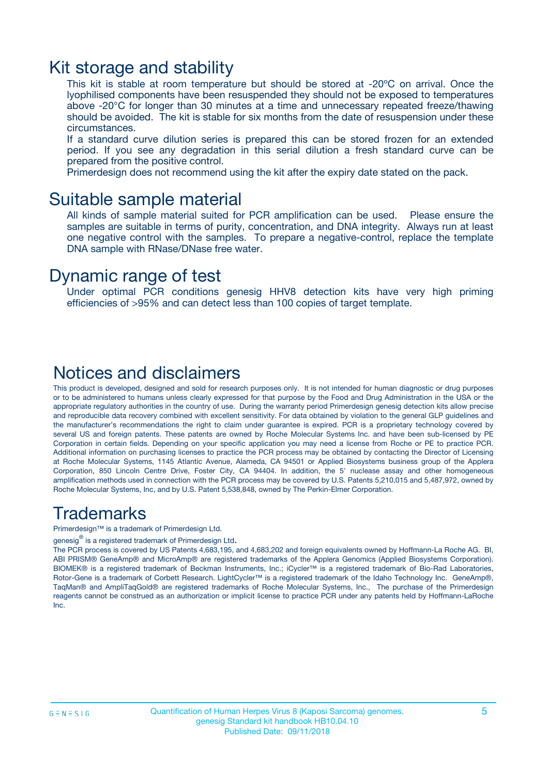### Kit storage and stability

This kit is stable at room temperature but should be stored at -20ºC on arrival. Once the lyophilised components have been resuspended they should not be exposed to temperatures above -20°C for longer than 30 minutes at a time and unnecessary repeated freeze/thawing should be avoided. The kit is stable for six months from the date of resuspension under these circumstances.

If a standard curve dilution series is prepared this can be stored frozen for an extended period. If you see any degradation in this serial dilution a fresh standard curve can be prepared from the positive control.

Primerdesign does not recommend using the kit after the expiry date stated on the pack.

### Suitable sample material

All kinds of sample material suited for PCR amplification can be used. Please ensure the samples are suitable in terms of purity, concentration, and DNA integrity. Always run at least one negative control with the samples. To prepare a negative-control, replace the template DNA sample with RNase/DNase free water.

### Dynamic range of test

Under optimal PCR conditions genesig HHV8 detection kits have very high priming efficiencies of >95% and can detect less than 100 copies of target template.

### Notices and disclaimers

This product is developed, designed and sold for research purposes only. It is not intended for human diagnostic or drug purposes or to be administered to humans unless clearly expressed for that purpose by the Food and Drug Administration in the USA or the appropriate regulatory authorities in the country of use. During the warranty period Primerdesign genesig detection kits allow precise and reproducible data recovery combined with excellent sensitivity. For data obtained by violation to the general GLP guidelines and the manufacturer's recommendations the right to claim under guarantee is expired. PCR is a proprietary technology covered by several US and foreign patents. These patents are owned by Roche Molecular Systems Inc. and have been sub-licensed by PE Corporation in certain fields. Depending on your specific application you may need a license from Roche or PE to practice PCR. Additional information on purchasing licenses to practice the PCR process may be obtained by contacting the Director of Licensing at Roche Molecular Systems, 1145 Atlantic Avenue, Alameda, CA 94501 or Applied Biosystems business group of the Applera Corporation, 850 Lincoln Centre Drive, Foster City, CA 94404. In addition, the 5' nuclease assay and other homogeneous amplification methods used in connection with the PCR process may be covered by U.S. Patents 5,210,015 and 5,487,972, owned by Roche Molecular Systems, Inc, and by U.S. Patent 5,538,848, owned by The Perkin-Elmer Corporation.

### Trademarks

Primerdesign™ is a trademark of Primerdesign Ltd.

genesig $^\circledR$  is a registered trademark of Primerdesign Ltd.

The PCR process is covered by US Patents 4,683,195, and 4,683,202 and foreign equivalents owned by Hoffmann-La Roche AG. BI, ABI PRISM® GeneAmp® and MicroAmp® are registered trademarks of the Applera Genomics (Applied Biosystems Corporation). BIOMEK® is a registered trademark of Beckman Instruments, Inc.; iCycler™ is a registered trademark of Bio-Rad Laboratories, Rotor-Gene is a trademark of Corbett Research. LightCycler™ is a registered trademark of the Idaho Technology Inc. GeneAmp®, TaqMan® and AmpliTaqGold® are registered trademarks of Roche Molecular Systems, Inc., The purchase of the Primerdesign reagents cannot be construed as an authorization or implicit license to practice PCR under any patents held by Hoffmann-LaRoche Inc.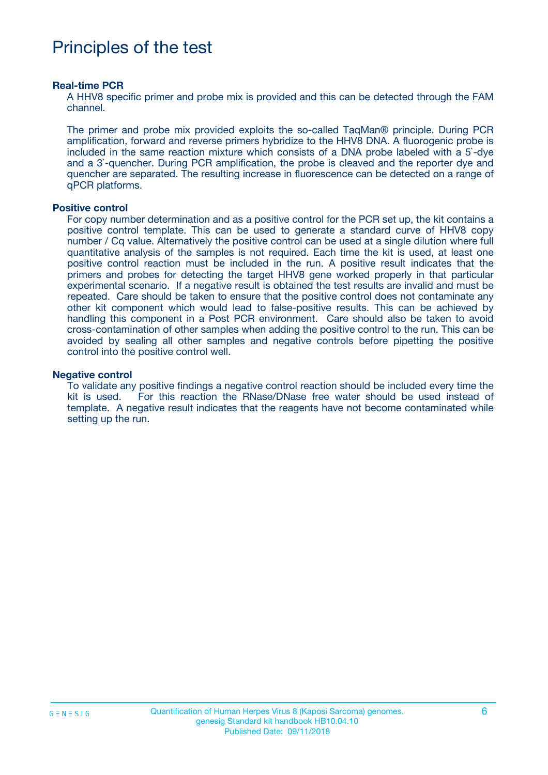## Principles of the test

#### **Real-time PCR**

A HHV8 specific primer and probe mix is provided and this can be detected through the FAM channel.

The primer and probe mix provided exploits the so-called TaqMan® principle. During PCR amplification, forward and reverse primers hybridize to the HHV8 DNA. A fluorogenic probe is included in the same reaction mixture which consists of a DNA probe labeled with a 5`-dye and a 3`-quencher. During PCR amplification, the probe is cleaved and the reporter dye and quencher are separated. The resulting increase in fluorescence can be detected on a range of qPCR platforms.

#### **Positive control**

For copy number determination and as a positive control for the PCR set up, the kit contains a positive control template. This can be used to generate a standard curve of HHV8 copy number / Cq value. Alternatively the positive control can be used at a single dilution where full quantitative analysis of the samples is not required. Each time the kit is used, at least one positive control reaction must be included in the run. A positive result indicates that the primers and probes for detecting the target HHV8 gene worked properly in that particular experimental scenario. If a negative result is obtained the test results are invalid and must be repeated. Care should be taken to ensure that the positive control does not contaminate any other kit component which would lead to false-positive results. This can be achieved by handling this component in a Post PCR environment. Care should also be taken to avoid cross-contamination of other samples when adding the positive control to the run. This can be avoided by sealing all other samples and negative controls before pipetting the positive control into the positive control well.

#### **Negative control**

To validate any positive findings a negative control reaction should be included every time the kit is used. For this reaction the RNase/DNase free water should be used instead of template. A negative result indicates that the reagents have not become contaminated while setting up the run.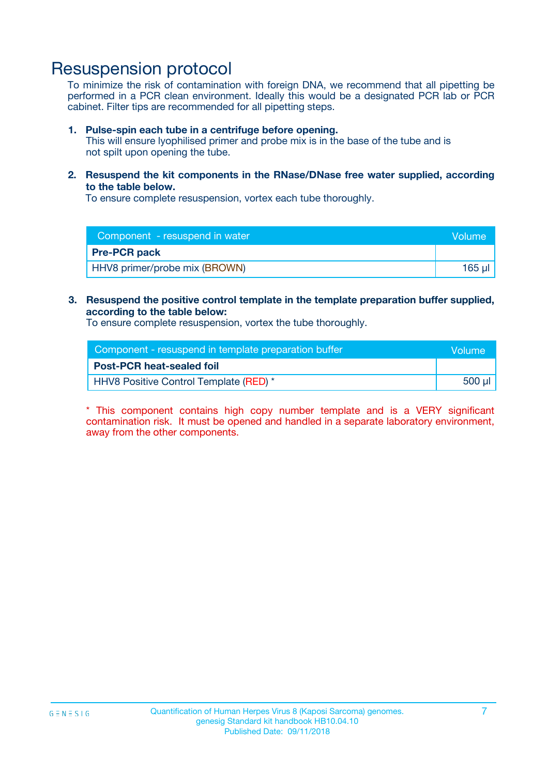### Resuspension protocol

To minimize the risk of contamination with foreign DNA, we recommend that all pipetting be performed in a PCR clean environment. Ideally this would be a designated PCR lab or PCR cabinet. Filter tips are recommended for all pipetting steps.

#### **1. Pulse-spin each tube in a centrifuge before opening.**

This will ensure lyophilised primer and probe mix is in the base of the tube and is not spilt upon opening the tube.

**2. Resuspend the kit components in the RNase/DNase free water supplied, according to the table below.**

To ensure complete resuspension, vortex each tube thoroughly.

| Component - resuspend in water<br>Volume |        |
|------------------------------------------|--------|
| <b>Pre-PCR pack</b>                      |        |
| HHV8 primer/probe mix (BROWN)            | 165 ul |

### **3. Resuspend the positive control template in the template preparation buffer supplied, according to the table below:**

To ensure complete resuspension, vortex the tube thoroughly.

| Component - resuspend in template preparation buffer |        |  |
|------------------------------------------------------|--------|--|
| <b>Post-PCR heat-sealed foil</b>                     |        |  |
| HHV8 Positive Control Template (RED) *               | 500 µl |  |

\* This component contains high copy number template and is a VERY significant contamination risk. It must be opened and handled in a separate laboratory environment, away from the other components.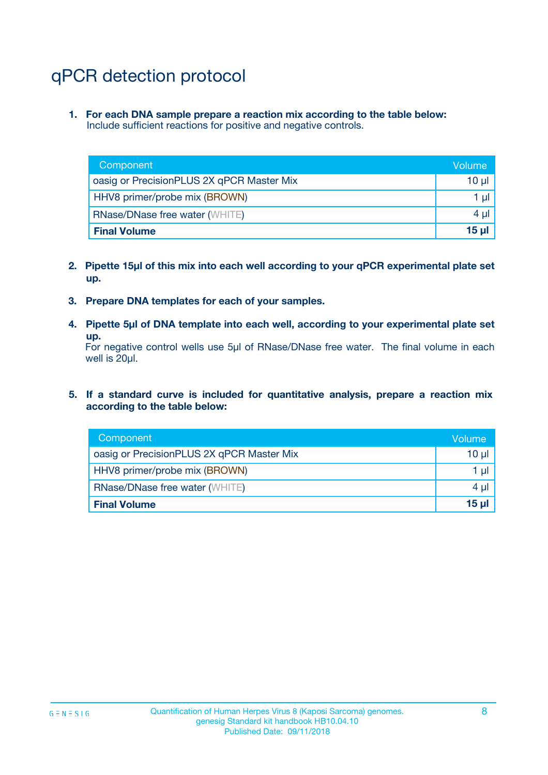# qPCR detection protocol

**1. For each DNA sample prepare a reaction mix according to the table below:** Include sufficient reactions for positive and negative controls.

| Component                                 | Volume   |
|-------------------------------------------|----------|
| oasig or PrecisionPLUS 2X qPCR Master Mix | 10 $\mu$ |
| HHV8 primer/probe mix (BROWN)             | 1 $\mu$  |
| <b>RNase/DNase free water (WHITE)</b>     | $4 \mu$  |
| <b>Final Volume</b>                       | $15$ µ   |

- **2. Pipette 15µl of this mix into each well according to your qPCR experimental plate set up.**
- **3. Prepare DNA templates for each of your samples.**
- **4. Pipette 5µl of DNA template into each well, according to your experimental plate set up.**

For negative control wells use 5µl of RNase/DNase free water. The final volume in each well is 20µl.

**5. If a standard curve is included for quantitative analysis, prepare a reaction mix according to the table below:**

| Component                                 | Volume          |
|-------------------------------------------|-----------------|
| oasig or PrecisionPLUS 2X qPCR Master Mix | $10 \mu$        |
| HHV8 primer/probe mix (BROWN)             | 1 µI            |
| <b>RNase/DNase free water (WHITE)</b>     | $4 \mu$         |
| <b>Final Volume</b>                       | 15 <sub>µ</sub> |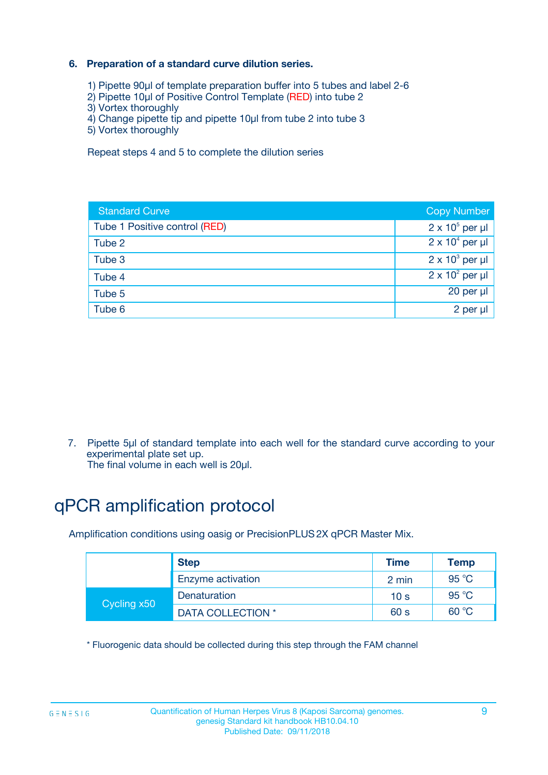### **6. Preparation of a standard curve dilution series.**

- 1) Pipette 90µl of template preparation buffer into 5 tubes and label 2-6
- 2) Pipette 10µl of Positive Control Template (RED) into tube 2
- 3) Vortex thoroughly
- 4) Change pipette tip and pipette 10µl from tube 2 into tube 3
- 5) Vortex thoroughly

Repeat steps 4 and 5 to complete the dilution series

| <b>Standard Curve</b>         | <b>Copy Number</b>     |
|-------------------------------|------------------------|
| Tube 1 Positive control (RED) | $2 \times 10^5$ per µl |
| Tube 2                        | $2 \times 10^4$ per µl |
| Tube 3                        | $2 \times 10^3$ per µl |
| Tube 4                        | $2 \times 10^2$ per µl |
| Tube 5                        | 20 per µl              |
| Tube 6                        | $2$ per $\mu$          |

7. Pipette 5µl of standard template into each well for the standard curve according to your experimental plate set up.

The final volume in each well is 20µl.

# qPCR amplification protocol

Amplification conditions using oasig or PrecisionPLUS2X qPCR Master Mix.

|             | <b>Step</b>       | <b>Time</b>     | Temp    |
|-------------|-------------------|-----------------|---------|
|             | Enzyme activation | 2 min           | 95 °C   |
| Cycling x50 | Denaturation      | 10 <sub>s</sub> | 95 $°C$ |
|             | DATA COLLECTION * | 60 s            | 60 °C   |

\* Fluorogenic data should be collected during this step through the FAM channel